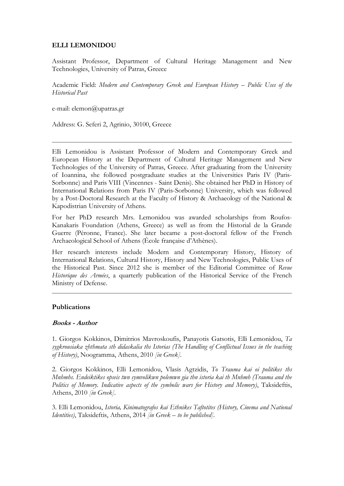## **ELLI LEMONIDOU**

Assistant Professor, Department of Cultural Heritage Management and New Technologies, University of Patras, Greece

Academic Field: *Modern and Contemporary Greek and European History – Public Uses of the Historical Past*

e-mail: [elemon@upatras.gr](mailto:elemon@upatras.gr)

Address: G. Seferi 2, Agrinio, 30100, Greece

Elli Lemonidou is Assistant Professor of Modern and Contemporary Greek and European History at the Department of Cultural Heritage Management and New Technologies of the University of Patras, Greece. After graduating from the University of Ioannina, she followed postgraduate studies at the Universities Paris IV (Paris-Sorbonne) and Paris VIII (Vincennes - Saint Denis). She obtained her PhD in History of International Relations from Paris IV (Paris-Sorbonne) University, which was followed by a Post-Doctoral Research at the Faculty of History & Archaeology of the National & Kapodistrian University of Athens.

For her PhD research Mrs. Lemonidou was awarded scholarships from Roufos-Kanakaris Foundation (Athens, Greece) as well as from the Historial de la Grande Guerre (Péronne, France). She later became a post-doctoral fellow of the French Archaeological School of Athens (École française d'Athènes).

Her research interests include Modern and Contemporary History, History of International Relations, Cultural History, History and New Technologies, Public Uses of the Historical Past. Since 2012 she is member of the Editorial Committee of *Revue Historique des Armées*, a quarterly publication of the Historical Service of the French Ministry of Defense.

## **Publications**

## **Books - Author**

1. Giorgos Kokkinos, Dimitrios Mavroskoufis, Panayotis Gatsotis, Elli Lemonidou, *Ta sygkrousiaka zhthmata sth didaskalia ths Istorias (The Handling of Conflictual Issues in the teaching of History)*, Noogramma, Athens, 2010 *[in Greek]*.

2. Giorgos Kokkinos, Elli Lemonidou, Vlasis Agtzidis, *To Trauma kai oi politikes ths Mnhmhs. Endeiktikes opseis twn symvolikwn polemwn gia thn istoria kai th Mnhmh (Trauma and the Politics of Memory. Indicative aspects of the symbolic wars for History and Memory)*, Taksideftis, Athens, 2010 *[in Greek]*.

3. Elli Lemonidou, *Istoria, Kinimatografos kai Ethnikes Taftotites (History, Cinema and National Identities*), Taksideftis, Athens, 2014 *[in Greek – to be published]*.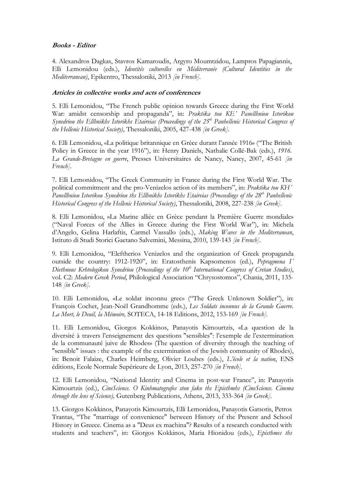## **Books - Editor**

4. Alexandros Dagkas, Stavros Kamaroudis, Argyro Moumtzidou, Lampros Papagiannis, Elli Lemonidou (eds.), *Identités culturelles en Méditerranée (Cultural Identities in the Mediterranean)*, Epikentro, Thessaloniki, 2013 *[in French]*.

# **Articles in collective works and acts of conferences**

5. Elli Lemonidou, "The French public opinion towards Greece during the First World War: amidst censorship and propaganda", in: *Praktika tou KE΄ Panellhniou Istorikou Synedriou ths Ellhnikhs Istorikhs Etaireias (Proceedings of the 25th Panhellenic Historical Congress of the Hellenic Historical Society)*, Thessaloniki, 2005, 427-438 *[in Greek]*.

6. Elli Lemonidou, «La politique britannique en Grèce durant l'année 1916» ("The British Policy in Greece in the year 1916"), in: Henry Daniels, Nathalie Collé-Bak (eds.), *1916. La Grande-Bretagne en guerre*, Presses Universitaires de Nancy, Nancy, 2007, 45-61 *[in French]*.

7. Elli Lemonidou, "The Greek Community in France during the First World War. The political commitment and the pro-Venizelos action of its members", in: *Praktika tou KH΄* Panellhniou Istorikou Synedriou ths Ellhnikhs Istorikhs Etaireias (Proceedings of the 28<sup>th</sup> Panhellenic *Historical Congress of the Hellenic Historical Society)*, Thessaloniki, 2008, 227-238 *[in Greek]*.

8. Elli Lemonidou, «La Marine alliée en Grèce pendant la Première Guerre mondiale» ("Naval Forces of the Allies in Greece during the First World War"), in: Michela d'Angelo, Gelina Harlaftis, Carmel Vassallo (eds.), *Making Waves in the Mediterranean*, Istituto di Studi Storici Gaetano Salvemini, Messina, 2010, 139-143 *[in French]*.

9. Elli Lemonidou, "Eleftherios Venizelos and the organization of Greek propaganda outside the country: 1912-1920", in: Eratosthenis Kapsomenos (ed.), *Pepragmena I΄* Diethnous Krhtologikou Synedriou (Proceedings of the 10<sup>th</sup> International Congress of Cretan Studies), vol. C2: *Modern Greek Period*, Philological Association "Chrysostomos", Chania, 2011, 135- 148 *[in Greek]*.

10. Elli Lemonidou, «Le soldat inconnu grec» ("The Greek Unknown Soldier"), in: François Cochet, Jean-Noël Grandhomme (eds.), *Les Soldats inconnus de la Grande Guerre. La Mort, le Deuil, la Mémoire,* SOTECA, 14-18 Editions, 2012, 153-169 *[in French]*.

11. Εlli Lemonidou, Giorgos Kokkinos, Panayotis Kimourtzis, «La question de la diversité à travers l'enseignement des questions "sensibles": l'exemple de l'extermination de la communauté juive de Rhodes» (The question of diversity through the teaching of "sensible" issues : the example of the extermination of the Jewish community of Rhodes), in: Benoit Falaize, Charles Heimberg, Olivier Loubes (eds.), *L'école et la nation*, ENS éditions, Ecole Normale Supérieure de Lyon, 2013, 257-270 *[in French].*

12. Elli Lemonidou, "National Identity and Cinema in post-war France", in: Panayotis Kimourtzis (ed.), *CineScience. O Kinhmatografos ston fako ths Episthmhs (CineScience. Cinema through the lens of Science),* Gutenberg Publications, Athens, 2013, 333-364 *[in Greek].*

13. Giorgos Kokkinos, Panayotis Kimourtzis, Elli Lemonidou, Panayotis Gatsotis, Petros Trantas, "The "marriage of convenience" between History of the Present and School History in Greece. Cinema as a "Deus ex machina"? Results of a research conducted with students and teachers", in: Giorgos Kokkinos, Maria Hionidou (eds.), *Episthmes ths*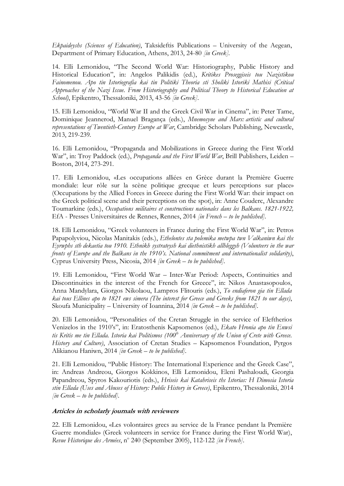*Ekpaideyshs (Sciences of Education)*, Taksideftis Publications *–* University of the Aegean, Department of Primary Education, Athens, 2013, 24-80 *[in Greek].*

14. Elli Lemonidou, "The Second World War: Historiography, Public History and Historical Education", in: Angelos Palikidis (ed.), *Kritikes Proseggiseis tou Nazistikou Fainomenou. Apo tin Istoriografia kai tin Politiki Theoria sti Sholiki Istoriki Mathisi (Critical Approaches of the Nazi Issue. From Historiography and Political Theory to Historical Education at School)*, Epikentro, Thessaloniki, 2013, 43-56 *[in Greek]*.

15. Elli Lemonidou, "World War II and the Greek Civil War in Cinema", in: Peter Tame, Dominique Jeannerod, Manuel Bragança (eds.), *Mnemosyne and Mars: artistic and cultural representations of Twentieth-Century Europe at War*, Cambridge Scholars Publishing, Newcastle, 2013, 219-239*.*

16. Elli Lemonidou, "Propaganda and Mobilizations in Greece during the First World War", in: Troy Paddock (ed.), *Propaganda and the First World War*, Brill Publishers, Leiden – Boston, 2014, 273-291*.*

17. Elli Lemonidou, «Les occupations alliées en Grèce durant la Première Guerre mondiale: leur rôle sur la scène politique grecque et leurs perceptions sur place» (Occupations by the Allied Forces in Greece during the First World War: their impact on the Greek political scene and their perceptions on the spot), in: Anne Couderc, Alexandre Toumarkine (eds.), *Occupations militaires et constructions nationales dans les Balkans. 1821-1922,*  EfA - Presses Universitaires de Rennes, Rennes, 2014 *[in French – to be published].*

18. Elli Lemonidou, "Greek volunteers in France during the First World War", in: Petros Papapolyviou, Nicolas Manitakis (eds.), *Ethelontes sta polemika metwpa twn Valkaniwn kai ths Eyrwphs sth dekaetia tou 1910. Ethnikh systrateysh kai diethnistikh allhleggyh (Volunteers in the war fronts of Europe and the Balkans in the 1910's. National commitment and internationalist solidarity)*, Cyprus University Press, Nicosia, 2014 *[in Greek – to be published].*

19. Elli Lemonidou, "First World War – Inter-War Period: Aspects, Continuities and Discontinuities in the interest of the French for Greece", in: Nikos Anastasopoulos, Anna Mandylara, Giorgos Nikolaou, Lampros Flitouris (eds.), *To endiaferon gia tin Ellada kai tous Ellines apo to 1821 ews simera (The interest for Greece and Greeks from 1821 to our days)*, Skoufa Municipality – University of Ioannina, 2014 *[in Greek – to be published].* 

20. Elli Lemonidou, "Personalities of the Cretan Struggle in the service of Eleftherios Venizelos in the 1910's", in: Eratosthenis Kapsomenos (ed.), *Ekato Hronia apo tin Enwsi*  tis Kritis me tin Ellada. Istoria kai Politismos (100<sup>th</sup> Anniversary of the Union of Crete with Greece. *History and Culture)*, Association of Cretan Studies – Kapsomenos Foundation, Pyrgos Alikianou Haniwn, 2014 *[in Greek – to be published].*

21. Elli Lemonidou, "Public History: The International Experience and the Greek Case", in: Andreas Andreou, Giorgos Kokkinos, Elli Lemonidou, Eleni Pashaloudi, Georgia Papandreou, Spyros Kakouriotis (eds.), *Hriseis kai Katahriseis ths Istorias: H Dimosia Istoria stin Ellada (Uses and Abuses of History: Public History in Greece)*, Epikentro, Thessaloniki, 2014 *[in Greek – to be published].* 

#### **Articles in scholarly journals with reviewers**

22. Elli Lemonidou, «Les volontaires grecs au service de la France pendant la Première Guerre mondiale» (Greek volunteers in service for France during the First World War), Revue Historique des Armées, nº 240 (September 2005), 112-122 [in French].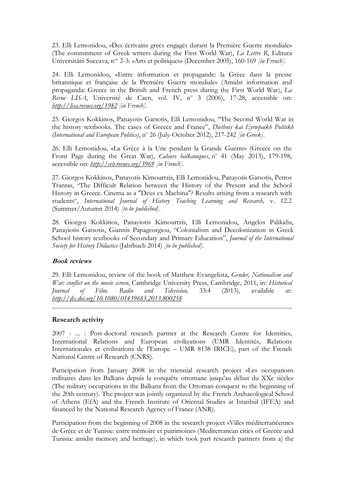23. Elli Lemonidou, «Des écrivains grecs engagés durant la Première Guerre mondiale» (The commitment of Greek writers during the First World War), *La Lettre R*, Editura Universitătii Suceava, n<sup>os</sup> 2-3: «Arts et politiques» (December 2005), 160-169 *[in French*].

24. Elli Lemonidou, «Entre information et propagande: la Grèce dans la presse britannique et française de la Première Guerre mondiale» (Amidst information and propaganda: Greece in the British and French press during the First World War), *La*  Revue LISA, Université de Caen, vol. IV, nº 3 (2006), 17-28, accessible on: *<http://lisa.revues.org/1982> [in French]*.

25. Giorgos Kokkinos, Panayotis Gatsotis, Elli Lemonidou, "The Second World War in the history textbooks. The cases of Greece and France", *Diethnis kai Eyrwpaikh Politikh* (International and European Politics), nº 26 (July-October 2012), 217-242 [in Greek].

26. Elli Lemonidou, «La Grèce à la Une pendant la Grande Guerre» (Greece on the Front Page during the Great War), *Cahiers balkaniques*, nº 41 (May 2013), 179-198, accessible on: *<http://ceb.revues.org/3969> [in French].*

27. Giorgos Kokkinos, Panayotis Kimourtzis, Elli Lemonidou, Panayotis Gatsotis, Petros Trantas, "The Difficult Relation between the History of the Present and the School History in Greece. Cinema as a "Deus ex Machina"? Results arising from a research with students", *International Journal of History Teaching Learning and Research,* v. 12.2 (Summer/Autumn 2014) *[to be published].*

28. Giorgos Kokkinos, Panayiotis Kimourtzis, Elli Lemonidou, Angelos Palikidis, Panayiotis Gatsotis, Giannis Papageorgiou, "Colonialism and Decolonization in Greek School history textbooks of Secondary and Primary Education", *Journal of the International Society for History Didactics* (Jahrbuch 2014) *[to be published].*

## **Book reviews**

29. Elli Lemonidou, review of the book of Matthew Evangelista, *Gender, Nationalism and War: conflict on the movie screen*, Cambridge University Press, Cambridge, 2011, in: *Historical Journal of Film, Radio and Television,* 33:4 (2013), available at: *<http://dx.doi.org/10.1080/01439685.2013.800258>*

## **Research activity**

2007 - ... : Post-doctoral research partner at the Research Centre for Identities, International Relations and European civilizations (UMR Identités, Relations Internationales et civilisations de l'Europe – UMR 8138 IRICE), part of the French National Centre of Research (CNRS).

Participation from January 2008 in the triennial research project «Les occupations militaires dans les Balkans depuis la conquête ottomane jusqu'au début du XXe siècle» (The military occupations in the Balkans from the Ottoman conquest to the beginning of the 20th century). The project was jointly organized by the French Archaeological School of Athens (EfA) and the French Institute of Oriental Studies at Istanbul (IFEA) and financed by the National Research Agency of France (ΑΝR).

Participation from the beginning of 2008 in the research project «Villes méditerranéennes de Grèce et de Tunisie: entre mémoire et patrimoine» (Mediterranean cities of Greece and Tunisia: amidst memory and heritage), in which took part research partners from a) the